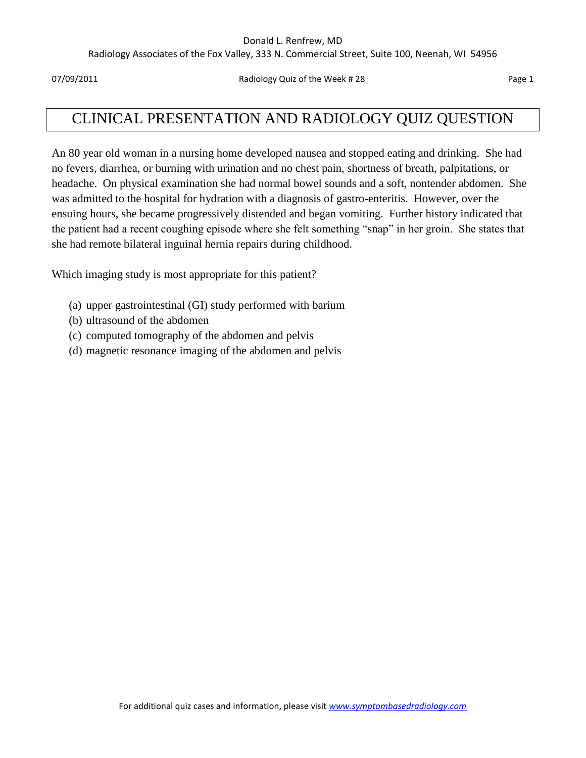#### Donald L. Renfrew, MD

Radiology Associates of the Fox Valley, 333 N. Commercial Street, Suite 100, Neenah, WI 54956

07/09/2011 **Page 1 Radiology Quiz of the Week # 28** Page 1

# CLINICAL PRESENTATION AND RADIOLOGY QUIZ QUESTION

An 80 year old woman in a nursing home developed nausea and stopped eating and drinking. She had no fevers, diarrhea, or burning with urination and no chest pain, shortness of breath, palpitations, or headache. On physical examination she had normal bowel sounds and a soft, nontender abdomen. She was admitted to the hospital for hydration with a diagnosis of gastro-enteritis. However, over the ensuing hours, she became progressively distended and began vomiting. Further history indicated that the patient had a recent coughing episode where she felt something "snap" in her groin. She states that she had remote bilateral inguinal hernia repairs during childhood.

Which imaging study is most appropriate for this patient?

- (a) upper gastrointestinal (GI) study performed with barium
- (b) ultrasound of the abdomen
- (c) computed tomography of the abdomen and pelvis
- (d) magnetic resonance imaging of the abdomen and pelvis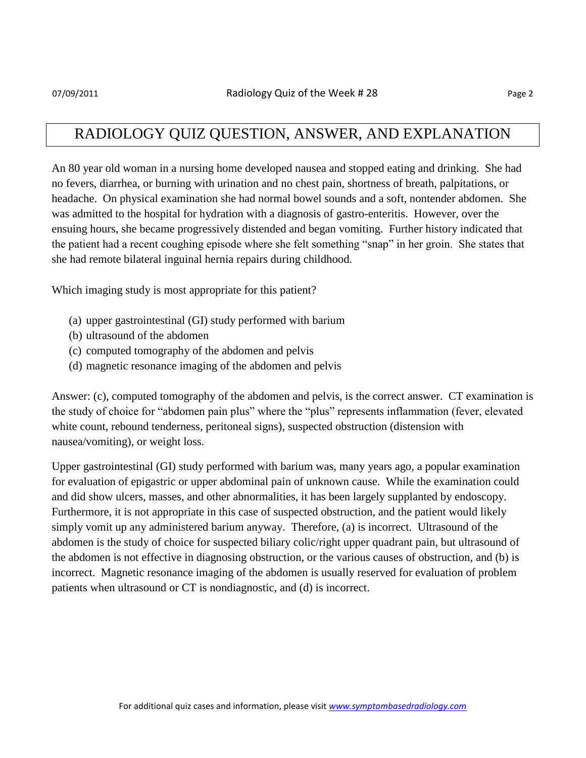#### RADIOLOGY QUIZ QUESTION, ANSWER, AND EXPLANATION

An 80 year old woman in a nursing home developed nausea and stopped eating and drinking. She had no fevers, diarrhea, or burning with urination and no chest pain, shortness of breath, palpitations, or headache. On physical examination she had normal bowel sounds and a soft, nontender abdomen. She was admitted to the hospital for hydration with a diagnosis of gastro-enteritis. However, over the ensuing hours, she became progressively distended and began vomiting. Further history indicated that the patient had a recent coughing episode where she felt something "snap" in her groin. She states that she had remote bilateral inguinal hernia repairs during childhood.

Which imaging study is most appropriate for this patient?

- (a) upper gastrointestinal (GI) study performed with barium
- (b) ultrasound of the abdomen
- (c) computed tomography of the abdomen and pelvis
- (d) magnetic resonance imaging of the abdomen and pelvis

Answer: (c), computed tomography of the abdomen and pelvis, is the correct answer. CT examination is the study of choice for "abdomen pain plus" where the "plus" represents inflammation (fever, elevated white count, rebound tenderness, peritoneal signs), suspected obstruction (distension with nausea/vomiting), or weight loss.

Upper gastrointestinal (GI) study performed with barium was, many years ago, a popular examination for evaluation of epigastric or upper abdominal pain of unknown cause. While the examination could and did show ulcers, masses, and other abnormalities, it has been largely supplanted by endoscopy. Furthermore, it is not appropriate in this case of suspected obstruction, and the patient would likely simply vomit up any administered barium anyway. Therefore, (a) is incorrect. Ultrasound of the abdomen is the study of choice for suspected biliary colic/right upper quadrant pain, but ultrasound of the abdomen is not effective in diagnosing obstruction, or the various causes of obstruction, and (b) is incorrect. Magnetic resonance imaging of the abdomen is usually reserved for evaluation of problem patients when ultrasound or CT is nondiagnostic, and (d) is incorrect.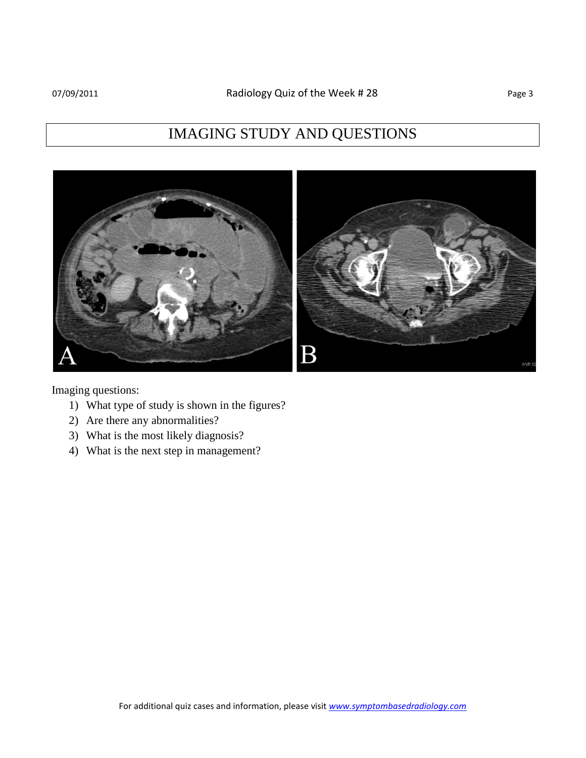## IMAGING STUDY AND QUESTIONS



Imaging questions:

- 1) What type of study is shown in the figures?
- 2) Are there any abnormalities?
- 3) What is the most likely diagnosis?
- 4) What is the next step in management?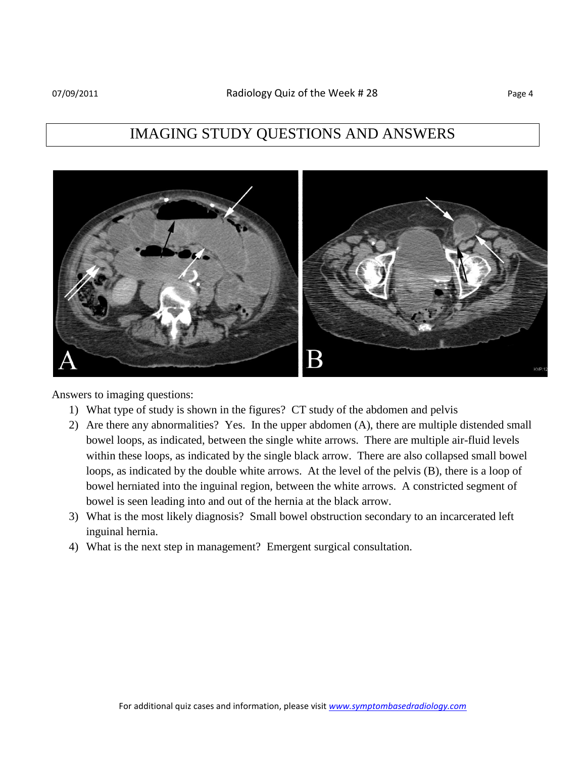

Answers to imaging questions:

- 1) What type of study is shown in the figures? CT study of the abdomen and pelvis
- 2) Are there any abnormalities? Yes. In the upper abdomen (A), there are multiple distended small bowel loops, as indicated, between the single white arrows. There are multiple air-fluid levels within these loops, as indicated by the single black arrow. There are also collapsed small bowel loops, as indicated by the double white arrows. At the level of the pelvis (B), there is a loop of bowel herniated into the inguinal region, between the white arrows. A constricted segment of bowel is seen leading into and out of the hernia at the black arrow.
- 3) What is the most likely diagnosis? Small bowel obstruction secondary to an incarcerated left inguinal hernia.
- 4) What is the next step in management? Emergent surgical consultation.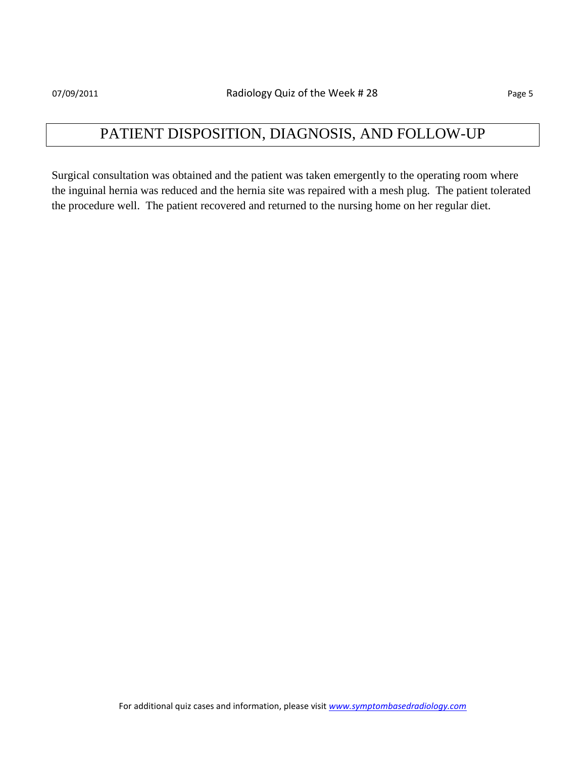## PATIENT DISPOSITION, DIAGNOSIS, AND FOLLOW-UP

Surgical consultation was obtained and the patient was taken emergently to the operating room where the inguinal hernia was reduced and the hernia site was repaired with a mesh plug. The patient tolerated the procedure well. The patient recovered and returned to the nursing home on her regular diet.